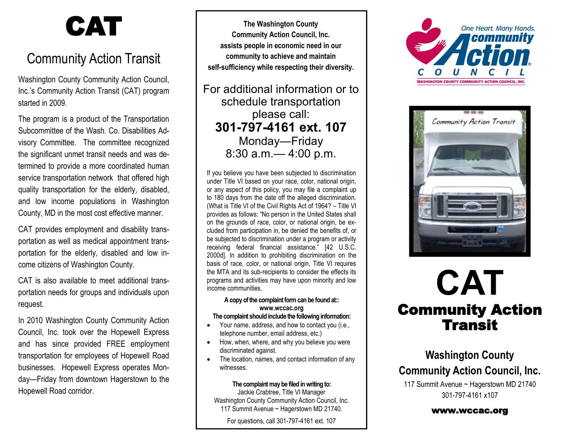# CAT

## Community Action Transit

Washington County Community Action Council, Inc.'s Community Action Transit (CAT) program started in 2009.

The program is a product of the Transportation Subcommittee of the Wash. Co. Disabilities Advisory Committee. The committee recognized the significant unmet transit needs and was determined to provide a more coordinated human service transportation network that offered high quality transportation for the elderly, disabled, and low income populations in Washington County, MD in the most cost effective manner.

CAT provides employment and disability transportation as well as medical appointment transportation for the elderly, disabled and low income citizens of Washington County.

CAT is also available to meet additional transportation needs for groups and individuals upon request.

In 2010 Washington County Community Action Council, Inc. took over the Hopewell Express and has since provided FREE employment transportation for employees of Hopewell Road businesses. Hopewell Express operates Monday—Friday from downtown Hagerstown to the Hopewell Road corridor.

**The Washington County Community Action Council, Inc. assists people in economic need in our community to achieve and maintain self-sufficiency while respecting their diversity.**

For additional information or to schedule transportation please call: **301-797-4161 ext. 107** Monday—Friday 8:30 a.m.— 4:00 p.m.

If you believe you have been subjected to discrimination under Title VI based on your race, color, national origin, or any aspect of this policy, you may file a complaint up to 180 days from the date off the alleged discrimination. (What is Title VI of the Civil Rights Act of 1964? – Title VI provides as follows: "No person in the United States shall on the grounds of race, color, or national origin, be excluded from participation in, be denied the benefits of, or be subjected to discrimination under a program or activity receiving federal financial assistance." [42 U.S.C. 2000d]. In addition to prohibiting discrimination on the basis of race, color, or national origin, Title VI requires the MTA and its sub-recipients to consider the effects its programs and activities may have upon minority and low income communities.

#### **A copy of the complaint form can be found at:: www.wccac.org The complaint should include the following information:**

- Your name, address, and how to contact you (i.e., telephone number, email address, etc.)
- How, when, where, and why you believe you were discriminated against.
- The location, names, and contact information of any witnesses.

### **The complaint may be filed in writing to:**

Jackie Crabtree, Title VI Manager Washington County Community Action Council, Inc. 117 Summit Avenue ~ Hagerstown MD 21740.

For questions, call 301-797-4161 ext. 107





# **CAT** Community Action Transit

### **Washington County Community Action Council, Inc.**

117 Summit Avenue ~ Hagerstown MD 21740 301-797-4161 x107

www.wccac.org